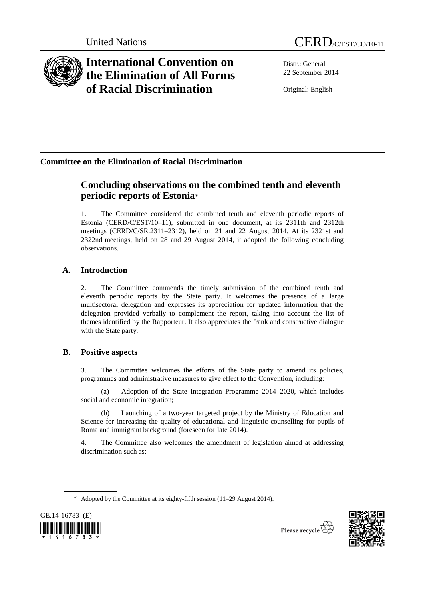

# **International Convention on the Elimination of All Forms of Racial Discrimination**

Distr.: General 22 September 2014

Original: English

## **Committee on the Elimination of Racial Discrimination**

## **Concluding observations on the combined tenth and eleventh periodic reports of Estonia**\*

1. The Committee considered the combined tenth and eleventh periodic reports of Estonia (CERD/C/EST/10–11), submitted in one document, at its 2311th and 2312th meetings (CERD/C/SR.2311–2312), held on 21 and 22 August 2014. At its 2321st and 2322nd meetings, held on 28 and 29 August 2014, it adopted the following concluding observations.

## **A. Introduction**

2. The Committee commends the timely submission of the combined tenth and eleventh periodic reports by the State party. It welcomes the presence of a large multisectoral delegation and expresses its appreciation for updated information that the delegation provided verbally to complement the report, taking into account the list of themes identified by the Rapporteur. It also appreciates the frank and constructive dialogue with the State party.

## **B. Positive aspects**

3. The Committee welcomes the efforts of the State party to amend its policies, programmes and administrative measures to give effect to the Convention, including:

(a) Adoption of the State Integration Programme 2014–2020, which includes social and economic integration;

(b) Launching of a two-year targeted project by the Ministry of Education and Science for increasing the quality of educational and linguistic counselling for pupils of Roma and immigrant background (foreseen for late 2014).

4. The Committee also welcomes the amendment of legislation aimed at addressing discrimination such as:

GE.14-16783 (E)  $\left| \left[ \left[ \begin{array}{ccc} 0 & 0 & 0 \\ 0 & 0 & 0 \\ 0 & 0 & 0 \end{array} \right] \right| \right| \left| \left[ \left[ \begin{array}{ccc} 0 & 0 & 0 \\ 0 & 0 & 0 \\ 0 & 0 & 0 \end{array} \right] \right| \right| \left| \left[ \left[ \begin{array}{ccc} 0 & 0 & 0 \\ 0 & 0 & 0 \\ 0 & 0 & 0 \end{array} \right] \right| \right|$ 



<sup>\*</sup> Adopted by the Committee at its eighty-fifth session (11–29 August 2014).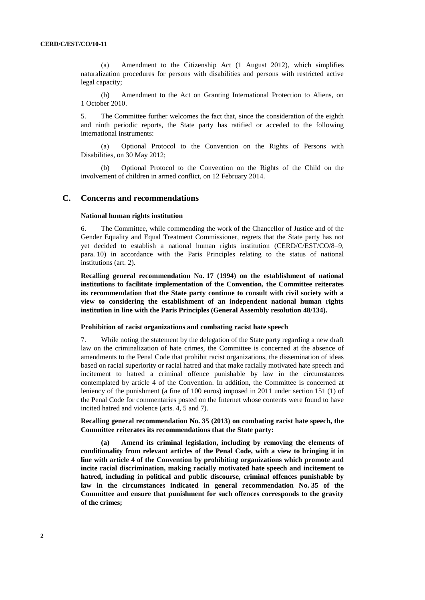(a) Amendment to the Citizenship Act (1 August 2012), which simplifies naturalization procedures for persons with disabilities and persons with restricted active legal capacity;

(b) Amendment to the Act on Granting International Protection to Aliens, on 1 October 2010.

5. The Committee further welcomes the fact that, since the consideration of the eighth and ninth periodic reports, the State party has ratified or acceded to the following international instruments:

(a) Optional Protocol to the Convention on the Rights of Persons with Disabilities, on 30 May 2012;

(b) Optional Protocol to the Convention on the Rights of the Child on the involvement of children in armed conflict, on 12 February 2014.

## **C. Concerns and recommendations**

#### **National human rights institution**

6. The Committee, while commending the work of the Chancellor of Justice and of the Gender Equality and Equal Treatment Commissioner, regrets that the State party has not yet decided to establish a national human rights institution (CERD/C/EST/CO/8–9, para. 10) in accordance with the Paris Principles relating to the status of national institutions (art. 2).

**Recalling general recommendation No. 17 (1994) on the establishment of national institutions to facilitate implementation of the Convention, the Committee reiterates its recommendation that the State party continue to consult with civil society with a view to considering the establishment of an independent national human rights institution in line with the Paris Principles (General Assembly resolution 48/134).**

#### **Prohibition of racist organizations and combating racist hate speech**

7. While noting the statement by the delegation of the State party regarding a new draft law on the criminalization of hate crimes, the Committee is concerned at the absence of amendments to the Penal Code that prohibit racist organizations, the dissemination of ideas based on racial superiority or racial hatred and that make racially motivated hate speech and incitement to hatred a criminal offence punishable by law in the circumstances contemplated by article 4 of the Convention. In addition, the Committee is concerned at leniency of the punishment (a fine of 100 euros) imposed in 2011 under section 151 (1) of the Penal Code for commentaries posted on the Internet whose contents were found to have incited hatred and violence (arts. 4, 5 and 7).

### **Recalling general recommendation No. 35 (2013) on combating racist hate speech, the Committee reiterates its recommendations that the State party:**

**(a) Amend its criminal legislation, including by removing the elements of conditionality from relevant articles of the Penal Code, with a view to bringing it in line with article 4 of the Convention by prohibiting organizations which promote and incite racial discrimination, making racially motivated hate speech and incitement to hatred, including in political and public discourse, criminal offences punishable by law in the circumstances indicated in general recommendation No. 35 of the Committee and ensure that punishment for such offences corresponds to the gravity of the crimes;**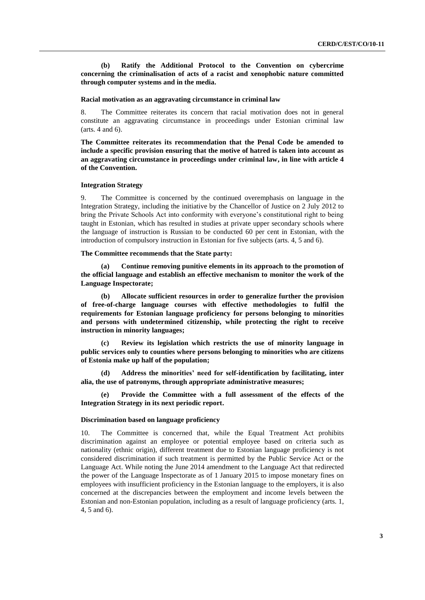**(b) Ratify the Additional Protocol to the Convention on cybercrime concerning the criminalisation of acts of a racist and xenophobic nature committed through computer systems and in the media.**

## **Racial motivation as an aggravating circumstance in criminal law**

8. The Committee reiterates its concern that racial motivation does not in general constitute an aggravating circumstance in proceedings under Estonian criminal law (arts. 4 and 6).

**The Committee reiterates its recommendation that the Penal Code be amended to include a specific provision ensuring that the motive of hatred is taken into account as an aggravating circumstance in proceedings under criminal law, in line with article 4 of the Convention.**

#### **Integration Strategy**

9. The Committee is concerned by the continued overemphasis on language in the Integration Strategy, including the initiative by the Chancellor of Justice on 2 July 2012 to bring the Private Schools Act into conformity with everyone's constitutional right to being taught in Estonian, which has resulted in studies at private upper secondary schools where the language of instruction is Russian to be conducted 60 per cent in Estonian, with the introduction of compulsory instruction in Estonian for five subjects (arts. 4, 5 and 6).

#### **The Committee recommends that the State party:**

**(a) Continue removing punitive elements in its approach to the promotion of the official language and establish an effective mechanism to monitor the work of the Language Inspectorate;**

**(b) Allocate sufficient resources in order to generalize further the provision of free-of-charge language courses with effective methodologies to fulfil the requirements for Estonian language proficiency for persons belonging to minorities and persons with undetermined citizenship, while protecting the right to receive instruction in minority languages;** 

**(c) Review its legislation which restricts the use of minority language in public services only to counties where persons belonging to minorities who are citizens of Estonia make up half of the population;**

**(d) Address the minorities' need for self-identification by facilitating, inter alia, the use of patronyms, through appropriate administrative measures;**

**(e) Provide the Committee with a full assessment of the effects of the Integration Strategy in its next periodic report.**

#### **Discrimination based on language proficiency**

10. The Committee is concerned that, while the Equal Treatment Act prohibits discrimination against an employee or potential employee based on criteria such as nationality (ethnic origin), different treatment due to Estonian language proficiency is not considered discrimination if such treatment is permitted by the Public Service Act or the Language Act. While noting the June 2014 amendment to the Language Act that redirected the power of the Language Inspectorate as of 1 January 2015 to impose monetary fines on employees with insufficient proficiency in the Estonian language to the employers, it is also concerned at the discrepancies between the employment and income levels between the Estonian and non-Estonian population, including as a result of language proficiency (arts. 1, 4, 5 and 6).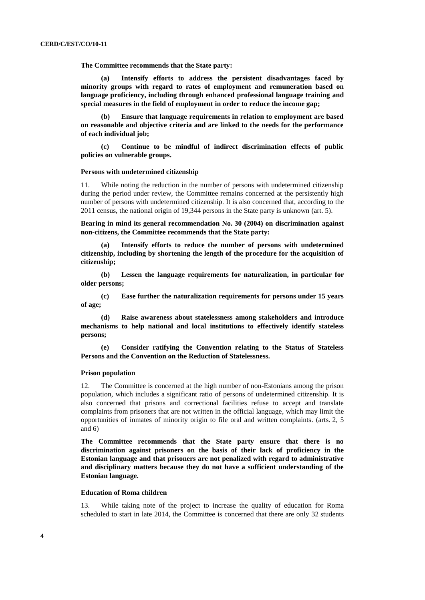**The Committee recommends that the State party:**

**(a) Intensify efforts to address the persistent disadvantages faced by minority groups with regard to rates of employment and remuneration based on language proficiency, including through enhanced professional language training and special measures in the field of employment in order to reduce the income gap;**

**(b) Ensure that language requirements in relation to employment are based on reasonable and objective criteria and are linked to the needs for the performance of each individual job;**

**(c) Continue to be mindful of indirect discrimination effects of public policies on vulnerable groups.**

#### **Persons with undetermined citizenship**

11. While noting the reduction in the number of persons with undetermined citizenship during the period under review, the Committee remains concerned at the persistently high number of persons with undetermined citizenship. It is also concerned that, according to the 2011 census, the national origin of 19,344 persons in the State party is unknown (art. 5).

**Bearing in mind its general recommendation No. 30 (2004) on discrimination against non-citizens, the Committee recommends that the State party:**

**(a) Intensify efforts to reduce the number of persons with undetermined citizenship, including by shortening the length of the procedure for the acquisition of citizenship;**

**(b) Lessen the language requirements for naturalization, in particular for older persons;**

**(c) Ease further the naturalization requirements for persons under 15 years of age;**

**(d) Raise awareness about statelessness among stakeholders and introduce mechanisms to help national and local institutions to effectively identify stateless persons;**

**(e) Consider ratifying the Convention relating to the Status of Stateless Persons and the Convention on the Reduction of Statelessness.**

#### **Prison population**

12. The Committee is concerned at the high number of non-Estonians among the prison population, which includes a significant ratio of persons of undetermined citizenship. It is also concerned that prisons and correctional facilities refuse to accept and translate complaints from prisoners that are not written in the official language, which may limit the opportunities of inmates of minority origin to file oral and written complaints. (arts. 2, 5 and 6)

**The Committee recommends that the State party ensure that there is no discrimination against prisoners on the basis of their lack of proficiency in the Estonian language and that prisoners are not penalized with regard to administrative and disciplinary matters because they do not have a sufficient understanding of the Estonian language.**

### **Education of Roma children**

13. While taking note of the project to increase the quality of education for Roma scheduled to start in late 2014, the Committee is concerned that there are only 32 students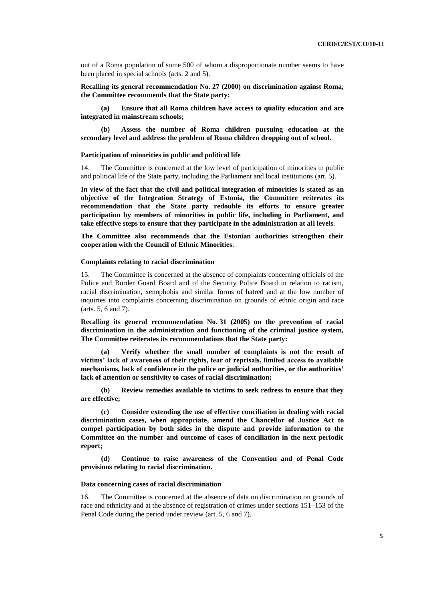out of a Roma population of some 500 of whom a disproportionate number seems to have been placed in special schools (arts. 2 and 5).

**Recalling its general recommendation No. 27 (2000) on discrimination against Roma, the Committee recommends that the State party:**

**(a) Ensure that all Roma children have access to quality education and are integrated in mainstream schools;**

**(b) Assess the number of Roma children pursuing education at the secondary level and address the problem of Roma children dropping out of school.**

#### **Participation of minorities in public and political life**

14. The Committee is concerned at the low level of participation of minorities in public and political life of the State party, including the Parliament and local institutions (art. 5).

**In view of the fact that the civil and political integration of minorities is stated as an objective of the Integration Strategy of Estonia, the Committee reiterates its recommendation that the State party redouble its efforts to ensure greater participation by members of minorities in public life, including in Parliament, and take effective steps to ensure that they participate in the administration at all levels**.

**The Committee also recommends that the Estonian authorities strengthen their cooperation with the Council of Ethnic Minorities**.

#### **Complaints relating to racial discrimination**

15. The Committee is concerned at the absence of complaints concerning officials of the Police and Border Guard Board and of the Security Police Board in relation to racism, racial discrimination, xenophobia and similar forms of hatred and at the low number of inquiries into complaints concerning discrimination on grounds of ethnic origin and race (arts. 5, 6 and 7).

**Recalling its general recommendation No. 31 (2005) on the prevention of racial discrimination in the administration and functioning of the criminal justice system, The Committee reiterates its recommendations that the State party:**

**(a) Verify whether the small number of complaints is not the result of victims' lack of awareness of their rights, fear of reprisals, limited access to available mechanisms, lack of confidence in the police or judicial authorities, or the authorities' lack of attention or sensitivity to cases of racial discrimination;**

**(b) Review remedies available to victims to seek redress to ensure that they are effective;**

**(c) Consider extending the use of effective conciliation in dealing with racial discrimination cases, when appropriate, amend the Chancellor of Justice Act to compel participation by both sides in the dispute and provide information to the Committee on the number and outcome of cases of conciliation in the next periodic report;**

**(d) Continue to raise awareness of the Convention and of Penal Code provisions relating to racial discrimination.**

#### **Data concerning cases of racial discrimination**

16. The Committee is concerned at the absence of data on discrimination on grounds of race and ethnicity and at the absence of registration of crimes under sections 151–153 of the Penal Code during the period under review (art. 5, 6 and 7).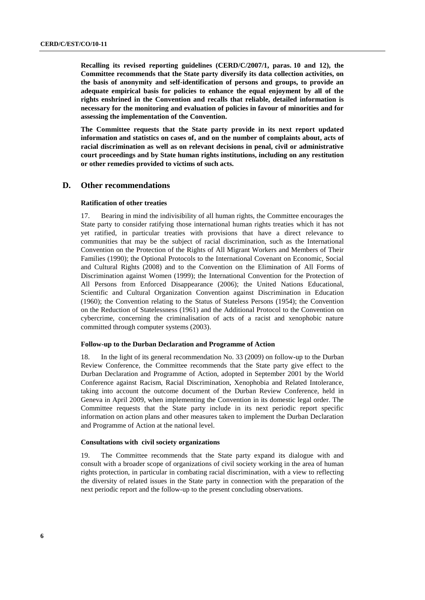**Recalling its revised reporting guidelines (CERD/C/2007/1, paras. 10 and 12), the Committee recommends that the State party diversify its data collection activities, on the basis of anonymity and self-identification of persons and groups, to provide an adequate empirical basis for policies to enhance the equal enjoyment by all of the rights enshrined in the Convention and recalls that reliable, detailed information is necessary for the monitoring and evaluation of policies in favour of minorities and for assessing the implementation of the Convention.**

**The Committee requests that the State party provide in its next report updated information and statistics on cases of, and on the number of complaints about, acts of racial discrimination as well as on relevant decisions in penal, civil or administrative court proceedings and by State human rights institutions, including on any restitution or other remedies provided to victims of such acts.** 

## **D. Other recommendations**

### **Ratification of other treaties**

17. Bearing in mind the indivisibility of all human rights, the Committee encourages the State party to consider ratifying those international human rights treaties which it has not yet ratified, in particular treaties with provisions that have a direct relevance to communities that may be the subject of racial discrimination, such as the International Convention on the Protection of the Rights of All Migrant Workers and Members of Their Families (1990); the Optional Protocols to the International Covenant on Economic, Social and Cultural Rights (2008) and to the Convention on the Elimination of All Forms of Discrimination against Women (1999); the International Convention for the Protection of All Persons from Enforced Disappearance (2006); the United Nations Educational, Scientific and Cultural Organization Convention against Discrimination in Education (1960); the Convention relating to the Status of Stateless Persons (1954); the Convention on the Reduction of Statelessness (1961) and the Additional Protocol to the Convention on cybercrime, concerning the criminalisation of acts of a racist and xenophobic nature committed through computer systems (2003).

#### **Follow-up to the Durban Declaration and Programme of Action**

18. In the light of its general recommendation No. 33 (2009) on follow-up to the Durban Review Conference, the Committee recommends that the State party give effect to the Durban Declaration and Programme of Action, adopted in September 2001 by the World Conference against Racism, Racial Discrimination, Xenophobia and Related Intolerance, taking into account the outcome document of the Durban Review Conference, held in Geneva in April 2009, when implementing the Convention in its domestic legal order. The Committee requests that the State party include in its next periodic report specific information on action plans and other measures taken to implement the Durban Declaration and Programme of Action at the national level.

#### **Consultations with civil society organizations**

19. The Committee recommends that the State party expand its dialogue with and consult with a broader scope of organizations of civil society working in the area of human rights protection, in particular in combating racial discrimination, with a view to reflecting the diversity of related issues in the State party in connection with the preparation of the next periodic report and the follow-up to the present concluding observations.